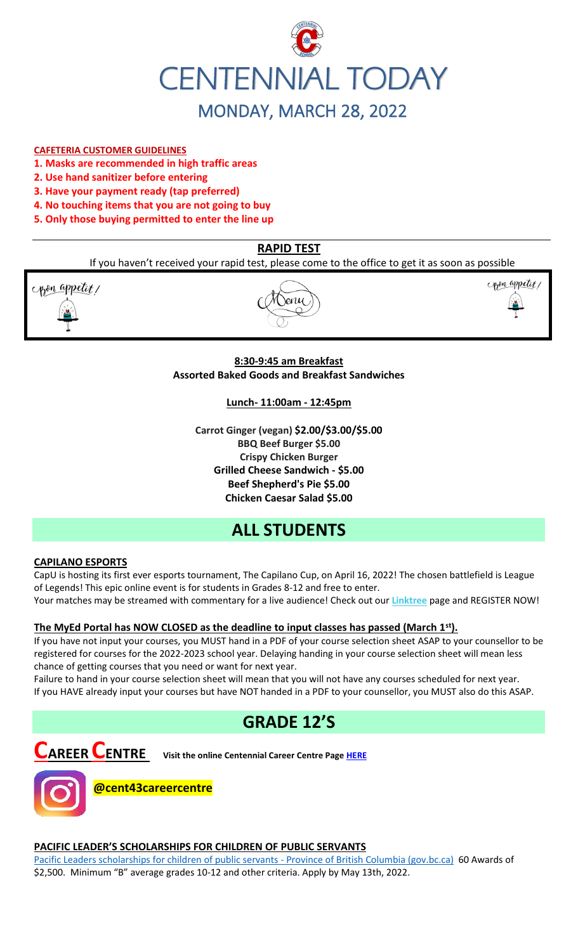

### **CAFETERIA CUSTOMER GUIDELINES**

- **1. Masks are recommended in high traffic areas**
- **2. Use hand sanitizer before entering**
- **3. Have your payment ready (tap preferred)**
- **4. No touching items that you are not going to buy**
- **5. Only those buying permitted to enter the line up**

### **RAPID TEST**

If you haven't received your rapid test, please come to the office to get it as soon as possible

pon appetit!





### **8:30-9:45 am Breakfast Assorted Baked Goods and Breakfast Sandwiches**

**Lunch- 11:00am - 12:45pm**

**Carrot Ginger (vegan) \$2.00/\$3.00/\$5.00 BBQ Beef Burger \$5.00 Crispy Chicken Burger Grilled Cheese Sandwich - \$5.00 Beef Shepherd's Pie \$5.00 Chicken Caesar Salad \$5.00**

# **ALL STUDENTS**

### **CAPILANO ESPORTS**

CapU is hosting its first ever esports tournament, The Capilano Cup, on April 16, 2022! The chosen battlefield is League of Legends! This epic online event is for students in Grades 8-12 and free to enter.

Your matches may be streamed with commentary for a live audience! Check out our **[Linktree](https://r20.rs6.net/tn.jsp?f=001TV5t6hvFEFpmqZ2KIJsRm_8_tZvmBTskK5EZhuhAwnd-AsBblXHT0oLCkv240W_X6yn70vNSoZMhpHydzQFokmFJte1QihkOmWyHEEdpefQQkF2m95hL64lqlrIm0DP1OmyM7kg-aupFxN5c0Zflag==&c=xWxYCxrh0jI56wNEyWlUltDjoDxbuS7cAkcm-CGdbhXD_wkXysw4wQ==&ch=hXVfGtAgW-ZP40ONb-DXcfozpnjfYR8-9naNHp1boINpgvZcTLJVsw==)** page and REGISTER NOW!

### **The MyEd Portal has NOW CLOSED as the deadline to input classes has passed (March 1st).**

If you have not input your courses, you MUST hand in a PDF of your course selection sheet ASAP to your counsellor to be registered for courses for the 2022-2023 school year. Delaying handing in your course selection sheet will mean less chance of getting courses that you need or want for next year.

Failure to hand in your course selection sheet will mean that you will not have any courses scheduled for next year. If you HAVE already input your courses but have NOT handed in a PDF to your counsellor, you MUST also do this ASAP.

# **GRADE 12'S**



**CAREER CENTRE Visit the online Centennial Career Centre Page [HERE](https://www.sd43.bc.ca/school/centennial/ProgramsServices/CareerCentre/experiences/Pages/default.aspx#/=)**



### **PACIFIC LEADER'S SCHOLARSHIPS FOR CHILDREN OF PUBLIC SERVANTS**

[Pacific Leaders scholarships for children of public servants -](https://www2.gov.bc.ca/gov/content/careers-myhr/all-employees/career-development/pacific-leaders/scholarships-for-children) Province of British Columbia (gov.bc.ca) 60 Awards of \$2,500. Minimum "B" average grades 10-12 and other criteria. Apply by May 13th, 2022.